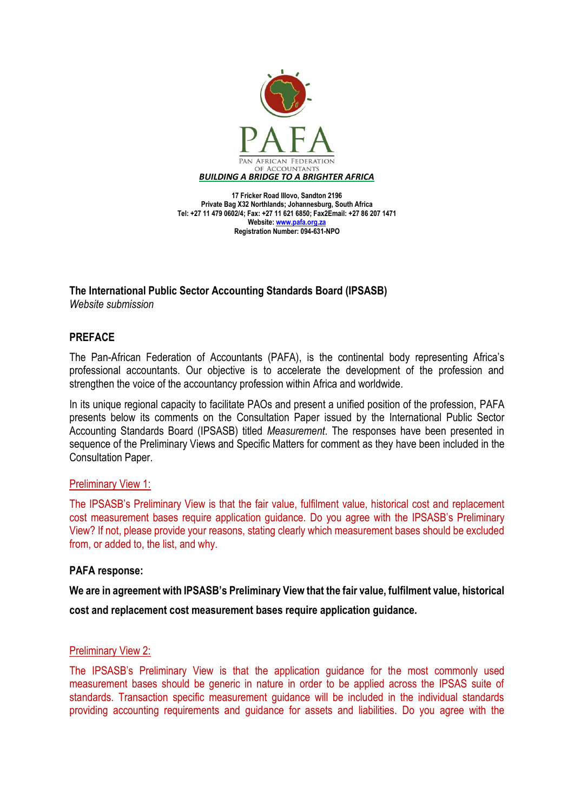

**17 Fricker Road Illovo, Sandton 2196 Private Bag X32 Northlands; Johannesburg, South Africa Tel: +27 11 479 0602/4; Fax: +27 11 621 6850; Fax2Email: +27 86 207 1471 Website[: www.pafa.org.za](http://www.pafa.org.za/) Registration Number: 094-631-NPO**

**The International Public Sector Accounting Standards Board (IPSASB)** 

*Website submission*

# **PREFACE**

The Pan-African Federation of Accountants (PAFA), is the continental body representing Africa's professional accountants. Our objective is to accelerate the development of the profession and strengthen the voice of the accountancy profession within Africa and worldwide.

In its unique regional capacity to facilitate PAOs and present a unified position of the profession, PAFA presents below its comments on the Consultation Paper issued by the International Public Sector Accounting Standards Board (IPSASB) titled *Measurement*. The responses have been presented in sequence of the Preliminary Views and Specific Matters for comment as they have been included in the Consultation Paper.

# Preliminary View 1:

The IPSASB's Preliminary View is that the fair value, fulfilment value, historical cost and replacement cost measurement bases require application guidance. Do you agree with the IPSASB's Preliminary View? If not, please provide your reasons, stating clearly which measurement bases should be excluded from, or added to, the list, and why.

# **PAFA response:**

**We are in agreement with IPSASB's Preliminary View that the fair value, fulfilment value, historical** 

**cost and replacement cost measurement bases require application guidance.**

# Preliminary View 2:

The IPSASB's Preliminary View is that the application guidance for the most commonly used measurement bases should be generic in nature in order to be applied across the IPSAS suite of standards. Transaction specific measurement guidance will be included in the individual standards providing accounting requirements and guidance for assets and liabilities. Do you agree with the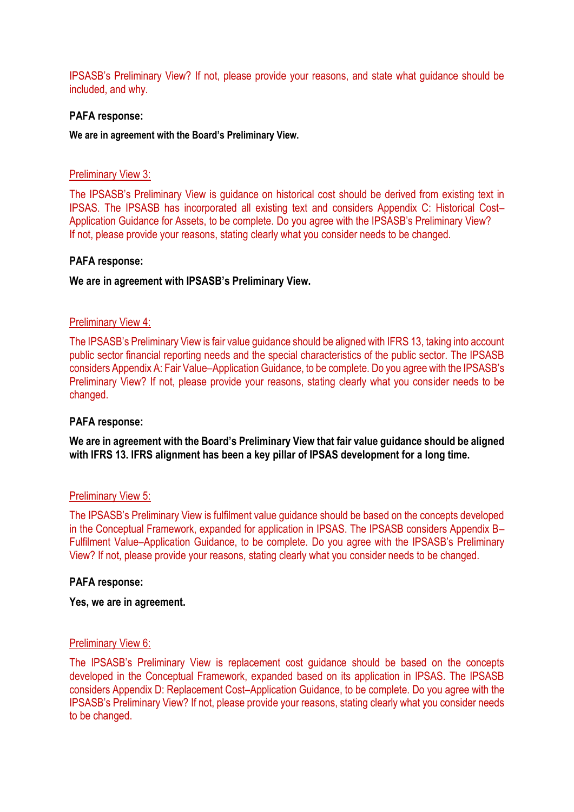IPSASB's Preliminary View? If not, please provide your reasons, and state what guidance should be included, and why.

### **PAFA response:**

**We are in agreement with the Board's Preliminary View.**

### Preliminary View 3:

The IPSASB's Preliminary View is guidance on historical cost should be derived from existing text in IPSAS. The IPSASB has incorporated all existing text and considers Appendix C: Historical Cost– Application Guidance for Assets, to be complete. Do you agree with the IPSASB's Preliminary View? If not, please provide your reasons, stating clearly what you consider needs to be changed.

### **PAFA response:**

### **We are in agreement with IPSASB's Preliminary View.**

### Preliminary View 4:

The IPSASB's Preliminary View is fair value guidance should be aligned with IFRS 13, taking into account public sector financial reporting needs and the special characteristics of the public sector. The IPSASB considers Appendix A: Fair Value–Application Guidance, to be complete. Do you agree with the IPSASB's Preliminary View? If not, please provide your reasons, stating clearly what you consider needs to be changed.

#### **PAFA response:**

**We are in agreement with the Board's Preliminary View that fair value guidance should be aligned with IFRS 13. IFRS alignment has been a key pillar of IPSAS development for a long time.**

#### Preliminary View 5:

The IPSASB's Preliminary View is fulfilment value guidance should be based on the concepts developed in the Conceptual Framework, expanded for application in IPSAS. The IPSASB considers Appendix B– Fulfilment Value–Application Guidance, to be complete. Do you agree with the IPSASB's Preliminary View? If not, please provide your reasons, stating clearly what you consider needs to be changed.

#### **PAFA response:**

#### **Yes, we are in agreement.**

### Preliminary View 6:

The IPSASB's Preliminary View is replacement cost guidance should be based on the concepts developed in the Conceptual Framework, expanded based on its application in IPSAS. The IPSASB considers Appendix D: Replacement Cost–Application Guidance, to be complete. Do you agree with the IPSASB's Preliminary View? If not, please provide your reasons, stating clearly what you consider needs to be changed.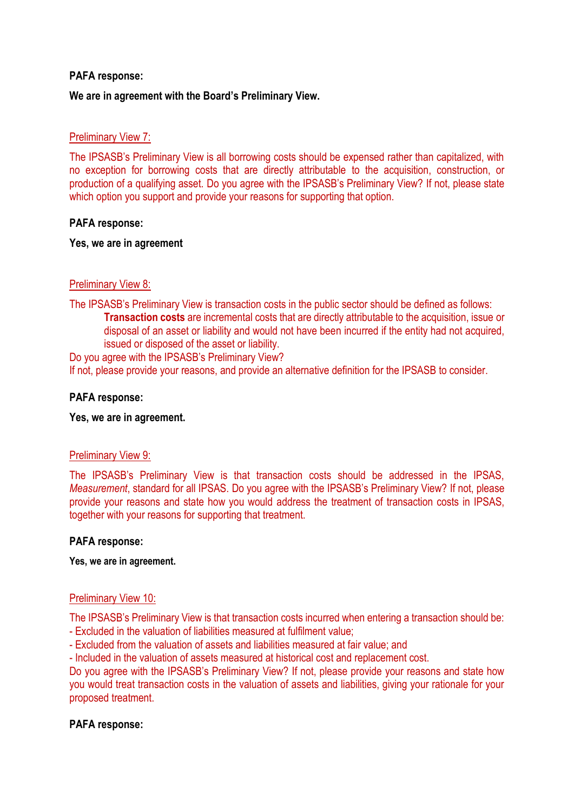## **PAFA response:**

## **We are in agreement with the Board's Preliminary View.**

### Preliminary View 7:

The IPSASB's Preliminary View is all borrowing costs should be expensed rather than capitalized, with no exception for borrowing costs that are directly attributable to the acquisition, construction, or production of a qualifying asset. Do you agree with the IPSASB's Preliminary View? If not, please state which option you support and provide your reasons for supporting that option.

## **PAFA response:**

### **Yes, we are in agreement**

# Preliminary View 8:

The IPSASB's Preliminary View is transaction costs in the public sector should be defined as follows: **Transaction costs** are incremental costs that are directly attributable to the acquisition, issue or disposal of an asset or liability and would not have been incurred if the entity had not acquired, issued or disposed of the asset or liability.

Do you agree with the IPSASB's Preliminary View? If not, please provide your reasons, and provide an alternative definition for the IPSASB to consider.

## **PAFA response:**

### **Yes, we are in agreement.**

### Preliminary View 9:

The IPSASB's Preliminary View is that transaction costs should be addressed in the IPSAS, *Measurement*, standard for all IPSAS. Do you agree with the IPSASB's Preliminary View? If not, please provide your reasons and state how you would address the treatment of transaction costs in IPSAS, together with your reasons for supporting that treatment.

### **PAFA response:**

**Yes, we are in agreement.**

### Preliminary View 10:

The IPSASB's Preliminary View is that transaction costs incurred when entering a transaction should be:

- Excluded in the valuation of liabilities measured at fulfilment value;
- Excluded from the valuation of assets and liabilities measured at fair value; and

- Included in the valuation of assets measured at historical cost and replacement cost.

Do you agree with the IPSASB's Preliminary View? If not, please provide your reasons and state how you would treat transaction costs in the valuation of assets and liabilities, giving your rationale for your proposed treatment.

### **PAFA response:**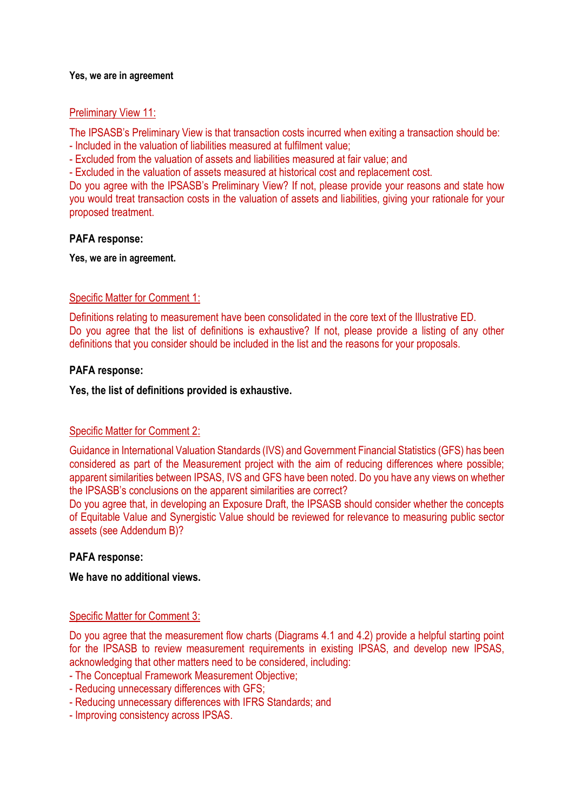### **Yes, we are in agreement**

### Preliminary View 11:

The IPSASB's Preliminary View is that transaction costs incurred when exiting a transaction should be: - Included in the valuation of liabilities measured at fulfilment value;

- Excluded from the valuation of assets and liabilities measured at fair value; and

- Excluded in the valuation of assets measured at historical cost and replacement cost.

Do you agree with the IPSASB's Preliminary View? If not, please provide your reasons and state how you would treat transaction costs in the valuation of assets and liabilities, giving your rationale for your proposed treatment.

### **PAFA response:**

**Yes, we are in agreement.**

### Specific Matter for Comment 1:

Definitions relating to measurement have been consolidated in the core text of the Illustrative ED. Do you agree that the list of definitions is exhaustive? If not, please provide a listing of any other definitions that you consider should be included in the list and the reasons for your proposals.

### **PAFA response:**

### **Yes, the list of definitions provided is exhaustive.**

### Specific Matter for Comment 2:

Guidance in International Valuation Standards (IVS) and Government Financial Statistics (GFS) has been considered as part of the Measurement project with the aim of reducing differences where possible; apparent similarities between IPSAS, IVS and GFS have been noted. Do you have any views on whether the IPSASB's conclusions on the apparent similarities are correct?

Do you agree that, in developing an Exposure Draft, the IPSASB should consider whether the concepts of Equitable Value and Synergistic Value should be reviewed for relevance to measuring public sector assets (see Addendum B)?

### **PAFA response:**

### **We have no additional views.**

### Specific Matter for Comment 3:

Do you agree that the measurement flow charts (Diagrams 4.1 and 4.2) provide a helpful starting point for the IPSASB to review measurement requirements in existing IPSAS, and develop new IPSAS, acknowledging that other matters need to be considered, including:

- The Conceptual Framework Measurement Objective;
- Reducing unnecessary differences with GFS;
- Reducing unnecessary differences with IFRS Standards; and
- Improving consistency across IPSAS.